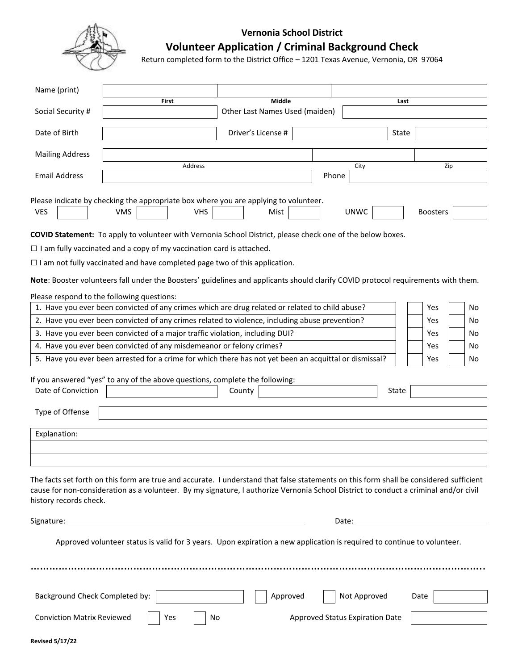

## **Vernonia School District**

## **Volunteer Application / Criminal Background Check**

Return completed form to the District Office – 1201 Texas Avenue, Vernonia, OR 97064

| Name (print)                                                                                                                                                                                                                                                                                             |                                                                                                                         |                                          |        |                    |  |             |                                 |       |                 |    |    |
|----------------------------------------------------------------------------------------------------------------------------------------------------------------------------------------------------------------------------------------------------------------------------------------------------------|-------------------------------------------------------------------------------------------------------------------------|------------------------------------------|--------|--------------------|--|-------------|---------------------------------|-------|-----------------|----|----|
| Social Security #                                                                                                                                                                                                                                                                                        | First                                                                                                                   | Middle<br>Other Last Names Used (maiden) |        |                    |  |             | Last                            |       |                 |    |    |
|                                                                                                                                                                                                                                                                                                          |                                                                                                                         |                                          |        |                    |  |             |                                 |       |                 |    |    |
| Date of Birth                                                                                                                                                                                                                                                                                            |                                                                                                                         |                                          |        | Driver's License # |  |             |                                 | State |                 |    |    |
| <b>Mailing Address</b>                                                                                                                                                                                                                                                                                   |                                                                                                                         |                                          |        |                    |  |             |                                 |       |                 |    |    |
|                                                                                                                                                                                                                                                                                                          | Address                                                                                                                 |                                          |        |                    |  | Zip<br>City |                                 |       |                 |    |    |
| <b>Email Address</b>                                                                                                                                                                                                                                                                                     |                                                                                                                         |                                          |        |                    |  | Phone       |                                 |       |                 |    |    |
|                                                                                                                                                                                                                                                                                                          |                                                                                                                         |                                          |        |                    |  |             |                                 |       |                 |    |    |
| Please indicate by checking the appropriate box where you are applying to volunteer.<br><b>VES</b>                                                                                                                                                                                                       | <b>VMS</b>                                                                                                              | <b>VHS</b>                               |        | Mist               |  |             | <b>UNWC</b>                     |       | <b>Boosters</b> |    |    |
|                                                                                                                                                                                                                                                                                                          |                                                                                                                         |                                          |        |                    |  |             |                                 |       |                 |    |    |
| COVID Statement: To apply to volunteer with Vernonia School District, please check one of the below boxes.                                                                                                                                                                                               |                                                                                                                         |                                          |        |                    |  |             |                                 |       |                 |    |    |
| $\Box$ I am fully vaccinated and a copy of my vaccination card is attached.                                                                                                                                                                                                                              |                                                                                                                         |                                          |        |                    |  |             |                                 |       |                 |    |    |
| $\Box$ I am not fully vaccinated and have completed page two of this application.                                                                                                                                                                                                                        |                                                                                                                         |                                          |        |                    |  |             |                                 |       |                 |    |    |
| Note: Booster volunteers fall under the Boosters' guidelines and applicants should clarify COVID protocol requirements with them.                                                                                                                                                                        |                                                                                                                         |                                          |        |                    |  |             |                                 |       |                 |    |    |
| Please respond to the following questions:                                                                                                                                                                                                                                                               |                                                                                                                         |                                          |        |                    |  |             |                                 |       |                 |    |    |
| 1. Have you ever been convicted of any crimes which are drug related or related to child abuse?                                                                                                                                                                                                          |                                                                                                                         |                                          |        |                    |  |             |                                 |       | Yes             |    | No |
| 2. Have you ever been convicted of any crimes related to violence, including abuse prevention?                                                                                                                                                                                                           |                                                                                                                         |                                          |        |                    |  |             |                                 |       | Yes             |    | No |
| 3. Have you ever been convicted of a major traffic violation, including DUI?<br>Yes<br>No                                                                                                                                                                                                                |                                                                                                                         |                                          |        |                    |  |             |                                 |       |                 |    |    |
| 4. Have you ever been convicted of any misdemeanor or felony crimes?<br>Yes                                                                                                                                                                                                                              |                                                                                                                         |                                          |        |                    |  |             |                                 |       |                 | No |    |
| 5. Have you ever been arrested for a crime for which there has not yet been an acquittal or dismissal?<br>Yes<br>No                                                                                                                                                                                      |                                                                                                                         |                                          |        |                    |  |             |                                 |       |                 |    |    |
|                                                                                                                                                                                                                                                                                                          |                                                                                                                         |                                          |        |                    |  |             |                                 |       |                 |    |    |
| If you answered "yes" to any of the above questions, complete the following:                                                                                                                                                                                                                             |                                                                                                                         |                                          |        |                    |  |             |                                 |       |                 |    |    |
| Date of Conviction                                                                                                                                                                                                                                                                                       |                                                                                                                         |                                          | County |                    |  |             |                                 | State |                 |    |    |
| Type of Offense                                                                                                                                                                                                                                                                                          |                                                                                                                         |                                          |        |                    |  |             |                                 |       |                 |    |    |
|                                                                                                                                                                                                                                                                                                          |                                                                                                                         |                                          |        |                    |  |             |                                 |       |                 |    |    |
| Explanation:                                                                                                                                                                                                                                                                                             |                                                                                                                         |                                          |        |                    |  |             |                                 |       |                 |    |    |
|                                                                                                                                                                                                                                                                                                          |                                                                                                                         |                                          |        |                    |  |             |                                 |       |                 |    |    |
| The facts set forth on this form are true and accurate. I understand that false statements on this form shall be considered sufficient<br>cause for non-consideration as a volunteer. By my signature, I authorize Vernonia School District to conduct a criminal and/or civil<br>history records check. |                                                                                                                         |                                          |        |                    |  |             |                                 |       |                 |    |    |
| Signature:                                                                                                                                                                                                                                                                                               | <u> 1980 - Johann Barn, fransk politik (d. 1980)</u>                                                                    |                                          |        |                    |  |             |                                 |       |                 |    |    |
|                                                                                                                                                                                                                                                                                                          | Approved volunteer status is valid for 3 years. Upon expiration a new application is required to continue to volunteer. |                                          |        |                    |  |             |                                 |       |                 |    |    |
|                                                                                                                                                                                                                                                                                                          |                                                                                                                         |                                          |        |                    |  |             |                                 |       |                 |    |    |
| Background Check Completed by:                                                                                                                                                                                                                                                                           |                                                                                                                         |                                          |        | Approved           |  |             | Not Approved                    |       | Date            |    |    |
| <b>Conviction Matrix Reviewed</b>                                                                                                                                                                                                                                                                        |                                                                                                                         | Yes<br>No                                |        |                    |  |             | Approved Status Expiration Date |       |                 |    |    |
|                                                                                                                                                                                                                                                                                                          |                                                                                                                         |                                          |        |                    |  |             |                                 |       |                 |    |    |